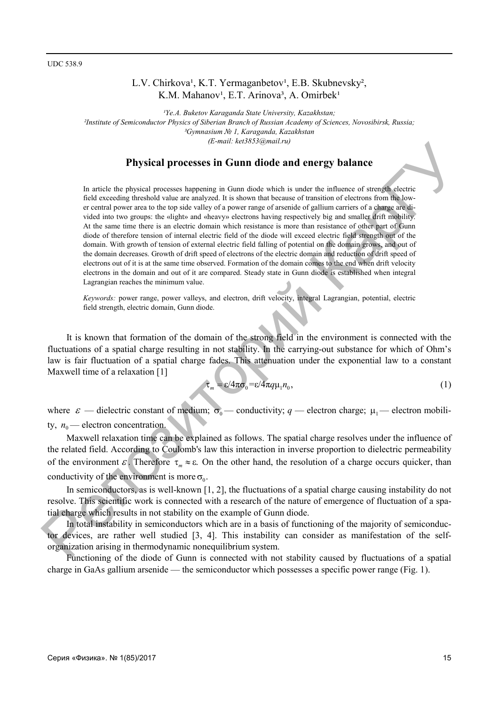# L.V. Chirkova<sup>1</sup>, K.T. Yermaganbetov<sup>1</sup>, E.B. Skubnevsky<sup>2</sup>, K.M. Mahanov<sup>1</sup>, E.T. Arinova<sup>3</sup>, A. Omirbek<sup>1</sup>

*¹Yе.A. Buketov Karaganda State University, Kazakhstan; ²Institute of Semiconductor Physics of Siberian Branch of Russian Academy of Sciences, Novosibirsk, Russia; ³Gymnasium № 1, Karaganda, Kazakhstan (E-mail: ket3853@mail.ru)* 

### **Physical processes in Gunn diode and energy balance**

In article the physical processes happening in Gunn diode which is under the influence of strength electric field exceeding threshold value are analyzed. It is shown that because of transition of electrons from the lower central power area to the top side valley of a power range of arsenide of gallium carriers of a charge are divided into two groups: the «light» and «heavy» electrons having respectively big and smaller drift mobility. At the same time there is an electric domain which resistance is more than resistance of other part of Gunn diode of therefore tension of internal electric field of the diode will exceed electric field strength out of the domain. With growth of tension of external electric field falling of potential on the domain grows, and out of the domain decreases. Growth of drift speed of electrons of the electric domain and reduction of drift speed of electrons out of it is at the same time observed. Formation of the domain comes to the end when drift velocity electrons in the domain and out of it are compared. Steady state in Gunn diode is established when integral Lagrangian reaches the minimum value. **Physical processes in Cannot distortionally a**<br> **Physical processes in Cann distortionally a** complete the inducer of steamation of the main terms of the contribution of the steamation of the steamation of the steamation

*Keywords:* power range, power valleys, and electron, drift velocity, integral Lagrangian, potential, electric field strength, electric domain, Gunn diode.

It is known that formation of the domain of the strong field in the environment is connected with the fluctuations of a spatial charge resulting in not stability. In the carrying-out substance for which of Ohm's law is fair fluctuation of a spatial charge fades. This attenuation under the exponential law to a constant Maxwell time of a relaxation [1]

$$
\tau_m = \varepsilon / 4\pi \sigma_0 = \varepsilon / 4\pi q \mu_1 n_0,\tag{1}
$$

where  $\varepsilon$  — dielectric constant of medium;  $\sigma_0$  — conductivity; *q* — electron charge;  $\mu_1$  — electron mobility,  $n_0$  — electron concentration.

Maxwell relaxation time can be explained as follows. The spatial charge resolves under the influence of the related field. According to Coulomb's law this interaction in inverse proportion to dielectric permeability of the environment  $\varepsilon$ . Therefore  $\tau_m \approx \varepsilon$ . On the other hand, the resolution of a charge occurs quicker, than conductivity of the environment is more  $\sigma_0$ .

In semiconductors, as is well-known [1, 2], the fluctuations of a spatial charge causing instability do not resolve. This scientific work is connected with a research of the nature of emergence of fluctuation of a spatial charge which results in not stability on the example of Gunn diode.

In total instability in semiconductors which are in a basis of functioning of the majority of semiconductor devices, are rather well studied [3, 4]. This instability can consider as manifestation of the selforganization arising in thermodynamic nonequilibrium system.

Functioning of the diode of Gunn is connected with not stability caused by fluctuations of a spatial charge in GaAs gallium arsenide — the semiconductor which possesses a specific power range (Fig. 1).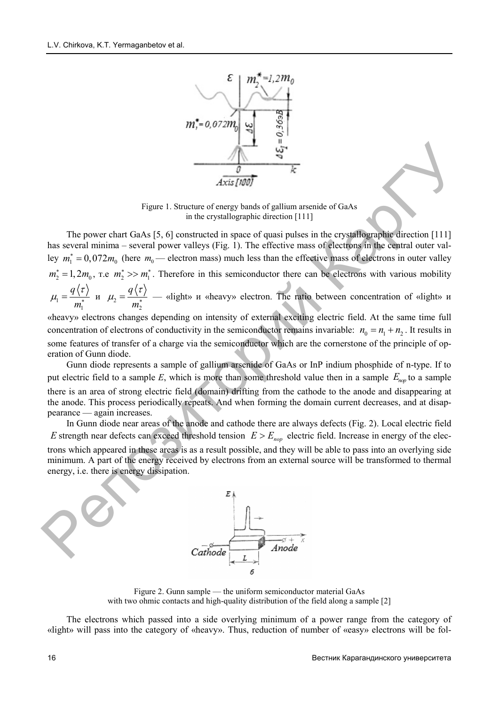1

2



Figure 1. Structure of energy bands of gallium arsenide of GaAs in the crystallographic direction [111]

The power chart GaAs [5, 6] constructed in space of quasi pulses in the crystallographic direction [111] has several minima – several power valleys (Fig. 1). The effective mass of electrons in the central outer valley  $m_1^* = 0.072 m_0$  (here  $m_0$ — electron mass) much less than the effective mass of electrons in outer valley , т.е  $m_2^* \gg m_1^*$ . Theref  $\mu_1 = \frac{4 \lambda^2}{r}$  — «lig  $m_2^* = 1, 2m_0$ , r.e  $m_2^* >> m_1^*$ 1 *q m*  $\mu_1 = \frac{q \langle \tau \rangle}{m^*}$   $\mu_1$ *q m*  $\mu_2 = \frac{q \sqrt{\tau}}{m^*}$ fore in this semiconductor there can be electron ht» и «heavy» electron. The ratio between con ns with various mobility ncentration of «light» и **Example 1.** Structure of example and the energy bank of gallinm arsemide of GaAs<br>
Tigure 1. Structure of energy bank of gallinm arsemide of GaAs<br>
The power chart GaAs [5,6] constructed in space of quasi pulses in the cry

«heavy» electrons changes depending on intensity of external exciting electric field. At the same time full concentration of electrons of conductivity in the semiconductor remains invariable:  $n_0 = n_1 + n_2$ . It results in some features of transfer of a charge via the semiconductor which are the cornerstone of the principle of operation of Gunn diode.

Gunn diode represents a sample of gallium arsenide of GaAs or InP indium phosphide of n-type. If to put electric field to a sample  $E$ , which is more than some threshold value then in a sample  $E_{\text{nop}}$  to a sample there is an area of strong electric field (domain) drifting from the cathode to the anode and disappearing at the anode. This process periodically repeats. And when forming the domain current decreases, and at disappearance — again increases.

In Gunn diode near areas of the anode and cathode there are always defects (Fig. 2). Local electric field E strength near defects can exceed threshold tension  $E > E_{\text{nop}}$  electric field. Increase in energy of the electrons which appeared in these areas is as a result possible, and they will be able to pass into an overlying side minimum. A part of the energy received by electrons from an external source will be transformed to thermal energy, i.e. there is energy dissipation.



Figure 2. Gunn sample — the uniform semiconductor material GaAs with two ohmic contacts and high-quality distribution of the field along a sample [2]

The electrons which passed into a side overlying minimum of a power range from the category of «light» will pass into the category of «heavy». Thus, reduction of number of «easy» electrons will be fol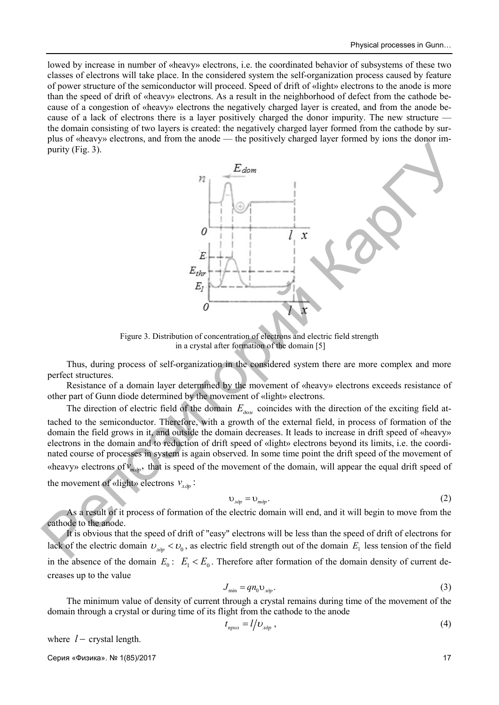lowed by increase in number of «heavy» electrons, i.e. the coordinated behavior of subsystems of these two classes of electrons will take place. In the considered system the self-organization process caused by feature of power structure of the semiconductor will proceed. Speed of drift of «light» electrons to the anode is more than the speed of drift of «heavy» electrons. As a result in the neighborhood of defect from the cathode because of a congestion of «heavy» electrons the negatively charged layer is created, and from the anode because of a lack of electrons there is a layer positively charged the donor impurity. The new structure the domain consisting of two layers is created: the negatively charged layer formed from the cathode by surplus of «heavy» electrons, and from the anode — the positively charged layer formed by ions the donor impurity (Fig. 3).



Figure 3. Distribution of concentration of electrons and electric field strength in a crystal after formation of the domain [5]

Thus, during process of self-organization in the considered system there are more complex and more perfect structures.

Resistance of a domain layer determined by the movement of «heavy» electrons exceeds resistance of other part of Gunn diode determined by the movement of «light» electrons.

The direction of electric field of the domain  $E_{\rho \rho \mu}$  coincides with the direction of the exciting field attached to the semiconductor. Therefore, with a growth of the external field, in process of formation of the domain the field grows in it, and outside the domain decreases. It leads to increase in drift speed of «heavy» electrons in the domain and to reduction of drift speed of «light» electrons beyond its limits, i.e. the coordinated course of processes in system is again observed. In some time point the drift speed of the movement of «heavy» electrons of  $v_{m\dot{\omega}_p}$ , that is speed of the movement of the domain, will appear the equal drift speed of the movement of «light» electrons  $v_{n\dot{p}}$ :

$$
v_{\text{loop}} = v_{\text{map}}.\tag{2}
$$

As a result of it process of formation of the electric domain will end, and it will begin to move from the cathode to the anode.

It is obvious that the speed of drift of "easy" electrons will be less than the speed of drift of electrons for lack of the electric domain  $v_{\eta \dot{\theta} p} < v_0$ , as electric field strength out of the domain  $E_1$  less tension of the field in the absence of the domain  $E_0$ :  $E_1 < E_0$ . Therefore after formation of the domain density of current decreases up to the value

$$
J_{\min} = q n_0 \mathbf{U}_{\lambda \partial p}.\tag{3}
$$

The minimum value of density of current through a crystal remains during time of the movement of the domain through a crystal or during time of its flight from the cathode to the anode

$$
t_{\text{npo}n} = l/D_{\text{d}p} \,,\tag{4}
$$

where  $l$  – crystal length.

Серия «Физика». № 1(85)/2017 17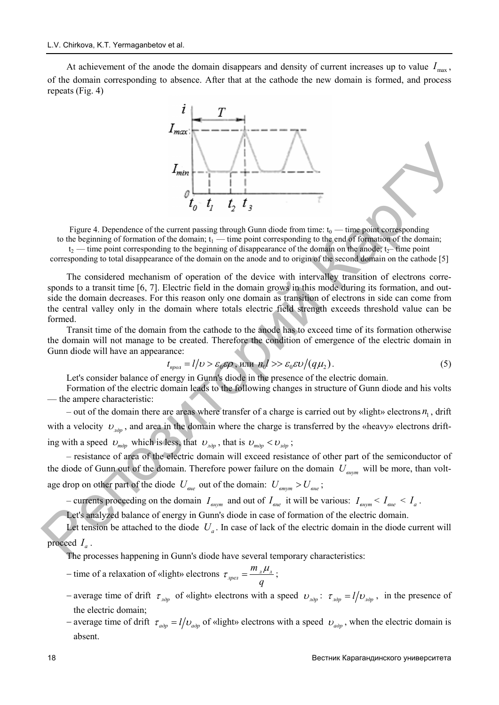At achievement of the anode the domain disappears and density of current increases up to value  $I_{\text{max}}$ , of the domain corresponding to absence. After that at the cathode the new domain is formed, and process repeats (Fig. 4)



Figure 4. Dependence of the current passing through Gunn diode from time:  $t_0$  — time point corresponding to the beginning of formation of the domain;  $t_1$  — time point corresponding to the end of formation of the domain;  $t_2$  — time point corresponding to the beginning of disappearance of the domain on the anode;  $t_2$ — time point

corresponding to total disappearance of the domain on the anode and to origin of the second domain on the cathode [5]

The considered mechanism of operation of the device with intervalley transition of electrons corresponds to a transit time [6, 7]. Electric field in the domain grows in this mode during its formation, and outside the domain decreases. For this reason only one domain as transition of electrons in side can come from the central valley only in the domain where totals electric field strength exceeds threshold value can be formed.  $I_{\text{gas}}$ <br>  $I_{\text{gas}}$ <br>  $I_{\text{gas}}$  ( $I_{\text{gas}}$   $I_{\text{gas}}$ ) and  $I_{\text{gas}}$  ( $I_{\text{gas}}$ ) and  $I_{\text{gas}}$  ( $I_{\text{gas}}$ ) and  $I_{\text{gas}}$  ( $I_{\text{gas}}$ ) and  $I_{\text{gas}}$  ( $I_{\text{gas}}$ ) and  $I_{\text{gas}}$  ( $I_{\text{gas}}$ ) and  $I_{\text{gas}}$  ( $I_{\text{gas}}$ ) and  $I_{\text{$ 

Transit time of the domain from the cathode to the anode has to exceed time of its formation otherwise the domain will not manage to be created. Therefore the condition of emergence of the electric domain in Gunn diode will have an appearance:

$$
t_{\text{npo}a} = l/\nu > \varepsilon_0 \varepsilon \rho \text{, with } n_0 l >> \varepsilon_0 \varepsilon \nu / (q\mu_2). \tag{5}
$$

Let's consider balance of energy in Gunn's diode in the presence of the electric domain.

Formation of the electric domain leads to the following changes in structure of Gunn diode and his volts — the ampere characteristic:

 $-$  out of the domain there are areas where transfer of a charge is carried out by «light» electrons  $n_1$ , drift with a velocity  $v_{\eta_{\text{op}}}$ , and area in the domain where the charge is transferred by the «heavy» electrons drifting with a speed  $v_{\text{map}}$  which is less, that  $v_{\text{map}}$ , that is  $v_{\text{map}} < v_{\text{map}}$ ;

– resistance of area of the electric domain will exceed resistance of other part of the semiconductor of the diode of Gunn out of the domain. Therefore power failure on the domain  $U_{\text{sym}}$  will be more, than voltage drop on other part of the diode  $U_{\text{one}}$  out of the domain:  $U_{\text{amp}} > U_{\text{one}}$ ;

– currents proceeding on the domain  $I_{\text{sym}}$  and out of  $I_{\text{one}}$  it will be various:  $I_{\text{sym}} < I_{\text{one}} < I_a$ .

Let's analyzed balance of energy in Gunn's diode in case of formation of the electric domain.

Let tension be attached to the diode  $U_a$ . In case of lack of the electric domain in the diode current will proceed  $I_a$ .

The processes happening in Gunn's diode have several temporary characteristics:

- time of a relaxation of «light» electrons  $\tau_{\text{open}} = \frac{m_{\text{a}} \mu_{\text{a}}}{n}$ ; *m q*  $\tau_{\text{max}} = \frac{m_{\pi}\mu}{\sqrt{m_{\pi}}}\$
- average time of drift  $\tau_{\eta \partial p}$  of «light» electrons with a speed  $v_{\eta \partial p}$ :  $\tau_{\eta \partial p} = l/v_{\eta \partial p}$ , in the presence of the electric domain;
- *–* average time of drift  $\tau_{a\partial p} = l/v_{a\partial p}$  of «light» electrons with a speed  $v_{a\partial p}$ , when the electric domain is absent.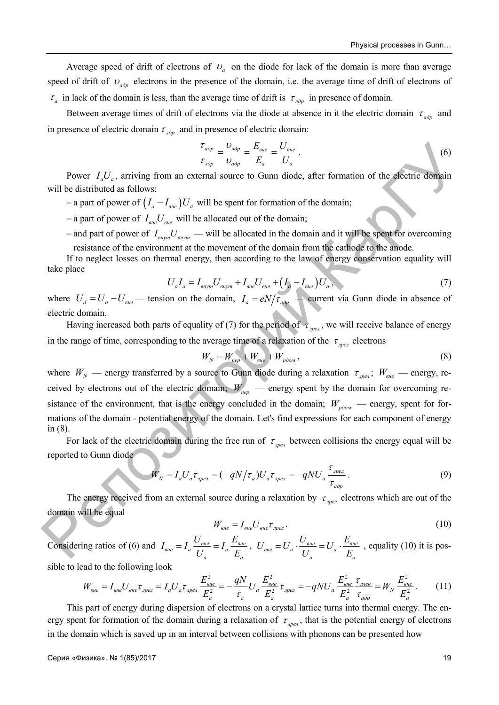Average speed of drift of electrons of  $v_a$  on the diode for lack of the domain is more than average speed of drift of  $v_{\eta \partial p}$  electrons in the presence of the domain, i.e. the average time of drift of electrons of  $\tau_a$  in lack of the domain is less, than the average time of drift is  $\tau_{\mu\partial p}$  in presence of domain.

Between average times of drift of electrons via the diode at absence in it the electric domain  $\tau_{\alpha\partial p}$  and in presence of electric domain  $\tau_{\eta \partial p}$  and in presence of electric domain:

$$
\frac{\tau_{a\partial p}}{\tau_{a\partial p}} = \frac{U_{a\partial p}}{U_{a\partial p}} = \frac{E_{\text{eine}}}{E_a} = \frac{U_{\text{eine}}}{U_a}.
$$
\n<sup>(6)</sup>

Power  $I_a U_a$ , arriving from an external source to Gunn diode, after formation of the electric domain will be distributed as follows:

 $-$  a part of power of  $\left(I_a - I_{\text{one}}\right)U_a$  will be spent for formation of the domain;

 $-$  a part of power of  $I_{\text{one}}U_{\text{one}}$  will be allocated out of the domain;

 $-$  and part of power of  $I_{\text{eikym}}U_{\text{eikym}}$  — will be allocated in the domain and it will be spent for overcoming

resistance of the environment at the movement of the domain from the cathode to the anode. If to neglect losses on thermal energy, then according to the law of energy conservation equality will take place

$$
U_{a}I_{a} = I_{\text{supm}}U_{\text{supm}} + I_{\text{e}}U_{\text{e}} + (I_{a} - I_{\text{e}}U_{a}, \tag{7}
$$

where  $U_d = U_a - U_{e^{i\theta}}$  tension on the domain,  $I_a = eN/\tau_{a^{i\theta}p}$  are current via Gunn diode in absence of electric domain.

Having increased both parts of equality of (7) for the period of  $\tau_{\eta_{\text{pez}}}$ , we will receive balance of energy in the range of time, corresponding to the average time of a relaxation of the  $\tau_{\text{per}}$  electrons

$$
W_N = W_{\text{nep}} + W_{\text{e}} + W_{\text{pion}}\,,\tag{8}
$$

where  $W_N$  — energy transferred by a source to Gunn diode during a relaxation  $\tau_{\eta_{per}}$ ;  $W_{\eta_{ee}}$  — energy, received by electrons out of the electric domain;  $W_{\text{nep}}$  — energy spent by the domain for overcoming resistance of the environment, that is the energy concluded in the domain;  $W_{p\ddot{o}ow}$  — energy, spent for formations of the domain - potential energy of the domain. Let's find expressions for each component of energy in (8).  $\frac{r_{\text{exp}}}{r} = \frac{P_{\text{exp}}}{r_{\text{exp}}} = \frac{P_{\text{exp}}}{r_{\text{exp}}} = \frac{P_{\text{exp}}}{r_{\text{exp}}} = \frac{P_{\text{exp}}}{r_{\text{exp}}}$ <br>
Will be distributed as follows:<br>
will be distributed as follows:<br>
will be distributed as follows:<br>  $-$  a part of power of  $I_{\text{$ 

For lack of the electric domain during the free run of  $\tau_{\text{per}}$  between collisions the energy equal will be reported to Gunn diode

$$
W_N = I_a U_a \tau_{\text{open}} = (-qN/\tau_a) U_a \tau_{\text{open}} = -qNU_a \frac{\tau_{\text{open}}}{\tau_{\text{loop}}}.
$$
\n(9)

The energy received from an external source during a relaxation by  $\tau_{\text{apen}}$  electrons which are out of the domain will be equal

$$
W_{\rm e}_{\rm e} = I_{\rm e}_{\rm e} U_{\rm e}_{\rm e} \tau_{\rm n\rho e} \tag{10}
$$

Considering ratios of (6) and  $I_{\text{one}} = I_a \frac{U_{\text{one}}}{I_a} = I_a \frac{E_{\text{one}}}{F_a}$ ,  $U_{\text{one}} = U_a \frac{U_{\text{one}}}{I_a} = U_a \frac{E_{\text{one}}}{F_a}$ , equality (10) it is possible to lead to the following look *a а*  $I_{\textit{eine}} = I_a \frac{U_{\textit{eine}}}{U_a} = I_a \frac{E_{\textit{eine}}}{E_a}$ ,  $U_{\textit{eine}} = U_a \cdot \frac{U_{\textit{eine}}}{U_a} = U_a \cdot \frac{E_{\textit{eine}}}{E_a}$ *a а*  $U_{\text{e}} = U_a \cdot \frac{U_{\text{e}}}{U_a} = U_a \cdot \frac{E_a}{E_a}$ 

$$
W_{\text{one}} = I_{\text{one}} U_{\text{one}} \tau_{\text{one}} = I_a U_a \tau_{\text{one}} \frac{E_{\text{one}}^2}{E_a^2} = -\frac{qN}{\tau_a} U_a \frac{E_{\text{one}}^2}{E_a^2} \tau_{\text{one}} = -qNU_a \frac{E_{\text{one}}^2}{E_a^2} \frac{\tau_{\text{one}}}{\tau_{\text{one}}} = W_N \frac{E_{\text{one}}^2}{E_a^2} \,. \tag{11}
$$

This part of energy during dispersion of electrons on a crystal lattice turns into thermal energy. The energy spent for formation of the domain during a relaxation of  $\tau_{\text{max}}$ , that is the potential energy of electrons in the domain which is saved up in an interval between collisions with phonons can be presented how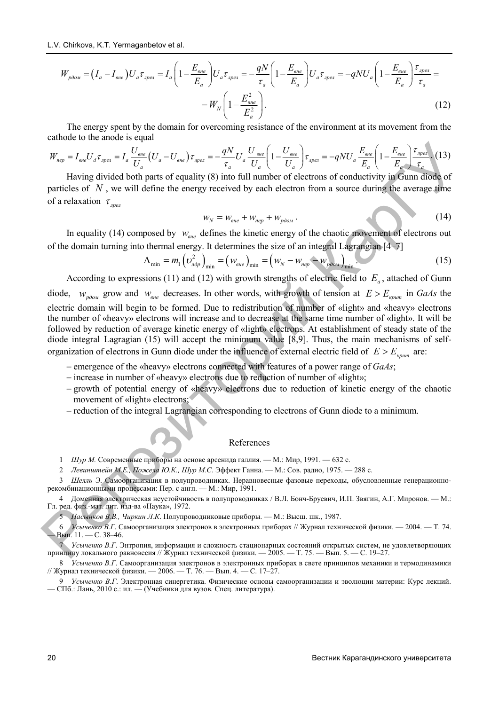$$
W_{p\ddot{o}o\mu} = (I_a - I_{e\mu e})U_a \tau_{\eta pe\tau} = I_a \left(1 - \frac{E_{e\mu e}}{E_a}\right) U_a \tau_{\eta pe\tau} = -\frac{qN}{\tau_a} \left(1 - \frac{E_{e\mu e}}{E_a}\right) U_a \tau_{\eta pe\tau} = -qNU_a \left(1 - \frac{E_{e\mu e}}{E_a}\right) \frac{\tau_{\eta pe\tau}}{\tau_a} =
$$

$$
= W_N \left(1 - \frac{E_{e\mu e}^2}{E_a^2}\right). \tag{12}
$$

The energy spent by the domain for overcoming resistance of the environment at its movement from the cathode to the anode is equal

$$
W_{\text{nep}} = I_{\text{ehe}} U_d \tau_{\text{ehe}} = I_a \frac{U_{\text{ehe}}}{U_a} \left( U_a - U_{\text{ehe}} \right) \tau_{\text{ehe}} = -\frac{qN}{\tau_a} U_a \frac{U_{\text{ehe}}}{U_a} \left( 1 - \frac{U_{\text{ehe}}}{U_a} \right) \tau_{\text{ehe}} = -qNU_a \frac{E_{\text{ehe}}}{E_a} \left( 1 - \frac{E_{\text{ehe}}}{E_a} \right) \frac{\tau_{\text{ehe}}}{\tau_a}.
$$
 (13)

Having divided both parts of equality (8) into full number of electrons of conductivity in Gunn diode of particles of  $N$ , we will define the energy received by each electron from a source during the average time of a relaxation  $\tau_{\text{I,per}}$ 

$$
w_N = w_{\text{one}} + w_{\text{nep}} + w_{\text{pdom}} \,. \tag{14}
$$

In equality (14) composed by  $w_{\text{one}}$  defines the kinetic energy of the chaotic movement of electrons out of the domain turning into thermal energy. It determines the size of an integral Lagrangian [4–7]

$$
\Lambda_{\min} = m_1 \left( \nu_{\eta \partial p}^2 \right)_{\min} = \left( w_{\text{one}} \right)_{\min} = \left( w_N - w_{\text{nep}} - w_{\text{p} \partial \omega} \right)_{\min} . \tag{15}
$$

According to expressions (11) and (12) with growth strengths of electric field to  $E_a$ , attached of Gunn diode,  $w_{p\omega M}$  grow and  $w_{gee}$  decreases. In other words, with growth of tension at  $E > E_{symm}$  in *GaAs* the electric domain will begin to be formed. Due to redistribution of number of «light» and «heavy» electrons the number of «heavy» electrons will increase and to decrease at the same time number of «light». It will be followed by reduction of average kinetic energy of «light» electrons. At establishment of steady state of the diode integral Lagragian (15) will accept the minimum value [8,9]. Thus, the main mechanisms of selforganization of electrons in Gunn diode under the influence of external electric field of  $E > E_{\text{sym}}$  are:  $W_{avg} = I_{acc}U_{g}T_{sys} = I_c \frac{U_{mg}}{U_{g}} (U_g - U_{ss}) \Gamma_{gw} = - \frac{qN}{2} U_c \frac{U_{mg}}{U_{g}} \left[ 1 - \frac{U_{mg}}{U_{g}} \right] \Gamma_{gw} = -qN U_c \frac{E_{mg}}{E_{g}} \left[ 1 - \frac{E_{mg}}{E_{g}} \right]$ <br>
Having divided both parts of equality (8) into full uninfer of electrons of conduc

- emergence of the «heavy» electrons connected with features of a power range of *GaAs*;
- increase in number of «heavy» electrons due to reduction of number of «light»;
- growth of potential energy of «heavy» electrons due to reduction of kinetic energy of the chaotic movement of «light» electrons;
- reduction of the integral Lagrangian corresponding to electrons of Gunn diode to a minimum.

#### References

- 1 *Шур М.* Современные приборы на основе арсенида галлия. М.: Мир, 1991. 632 с.
- 2 *Левинштейн М.Е., Пожела Ю.К., Шур М.С*. Эффект Ганна. М.: Сов. радио, 1975. 288 с.
- 3 *Шелль Э*. Самоорганизация в полупроводниках. Неравновесные фазовые переходы, обусловленные генерационнорекомбинационными процессами: Пер. с англ. — М.: Мир, 1991.

4 Доменная электрическая неустойчивость в полупроводниках / В.Л. Бонч-Бруевич, И.П. Звягин, А.Г. Миронов. — М.: Гл. ред. физ.-мат. лит. изд-ва «Наука», 1972.

5 *Пасынков В.В., Чиркин Л.К*. Полупроводниковые приборы. — М.: Высш. шк., 1987.

6 *Усыченко В.Г*. Самоорганизация электронов в электронных приборах // Журнал технической физики. — 2004. — Т. 74. — Вып. 11. — С. 38–46.

7 *Усыченко В.Г*. Энтропия, информация и сложность стационарных состояний открытых систем, не удовлетворяющих принципу локального равновесия // Журнал технической физики. — 2005. — Т. 75. — Вып. 5. — С. 19–27.

8 *Усыченко В.Г*. Самоорганизация электронов в электронных приборах в свете принципов механики и термодинамики // Журнал технической физики. — 2006. — Т. 76. — Вып. 4. — С. 17-27.

9 *Усыченко В.Г*. Электронная синергетика. Физические основы самоорганизации и эволюции материи: Курс лекций. — СПб.: Лань, 2010 с.: ил. — (Учебники для вузов. Спец. литература).